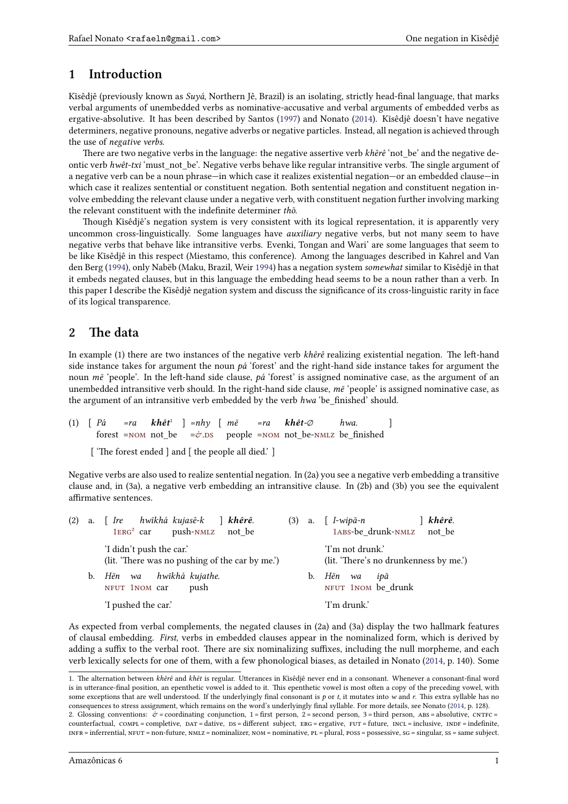### **1 Introduction**

Kĩsêdjê (previously known as *Suyá*, Northern Jê, Brazil) is an isolating, strictly head-final language, that marks verbal arguments of unembedded verbs as nominative-accusative and verbal arguments of embedded verbs as ergative-absolutive. It has been described by Santos (1997) and Nonato (2014). Kĩsêdjê doesn't have negative determiners, negative pronouns, negative adverbs or negative particles. Instead, all negation is achieved through the use of *negative verbs*.

There are two negative verbs in the language: the negative assertive verb *khêrê* 'not\_be' and the negative deontic verb *hwêt-txi* 'must not be'. Negative verbs beh[ave lik](#page-4-0)e regular intr[ansiti](#page-4-1)ve verbs. The single argument of a negative verb can be a noun phrase—in which case it realizes existential negation—or an embedded clause—in which case it realizes sentential or constituent negation. Both sentential negation and constituent negation involve embedding the relevant clause under a negative verb, with constituent negation further involving marking the relevant constituent with the indefinite determiner *thõ*.

Though Kĩsêdjê's negation system is very consistent with its logical representation, it is apparently very uncommon cross-linguistically. Some languages have *auxiliary* negative verbs, but not many seem to have negative verbs that behave like intransitive verbs. Evenki, Tongan and Wari' are some languages that seem to be like Kĩsêdjê in this respect (Miestamo, this conference). Among the languages described in Kahrel and Van den Berg (1994), only Nabëb (Maku, Brazil, Weir 1994) has a negation system *somewhat* similar to Kĩsêdjê in that it embeds negated clauses, but in this language the embedding head seems to be a noun rather than a verb. In this paper I describe the Kĩsêdjê negation system and discuss the significance of its cross-linguistic rarity in face of its logical transparence.

## **2 The data**

In example (1) there are two instances of the negative verb *khêrê* realizing existential negation. The left-hand side instance takes for argument the noun *pá* 'forest' and the right-hand side instance takes for argument the noun *mẽ* 'people'. In the left-hand side clause, *pá* 'forest' is assigned nominative case, as the argument of an unembedded intransitive verb should. In the right-hand side clause, *mẽ* 'people' is assigned nominative case, as the argument of an intransitive verb embedded by the verb *hwa* 'be\_finished' should.

(1) [ *Pá* forest =NOM not\_be =&.ds people =NOM not\_be-NMLZ be\_finished *=ra khêt*¹ ] *=nhy* [ *mẽ =ra khêt-∅ hwa.* ]

['The forest ended ] and [ the people all died.']

Negative verbs are also us[ed](#page-0-1) to realize sentential negation. In (2a) you see a negative verb embedding a transitive clause and, in [\(3a\), a](#page-0-0) negative v[er](#page-0-2)[b em](#page-0-3)bedding a[n intr](#page-0-0)ansitive [claus](#page-0-4)e. In (2b) and (3b) you see the equivalent affirmative sentences.

| (2) |    | a. [ Ire hwîkhá kujasê-k ] <b>khêrê</b> .<br>$1ERG2$ car push-NMLZ not be   |    | khêrê.<br>(3) a. $\int$ <i>I-wipa-n</i><br>1ABS-be drunk-NMLZ not be |
|-----|----|-----------------------------------------------------------------------------|----|----------------------------------------------------------------------|
|     |    | 'I didn't push the car.'<br>(lit. 'There was no pushing of the car by me.') |    | 'I'm not drunk.'<br>(lit. 'There's no drunkenness by me.')           |
|     | b. | hwĩkhá kujathe.<br>Hền wa<br>NFUT 1NOM car<br>push                          | b. | Hẽn<br>ipã<br>wa<br>NFUT 1NOM be drunk                               |
|     |    | 'I pushed the car.'                                                         |    | 'I'm drunk.'                                                         |

As expected from verbal complements, the negated clauses in (2a) and (3a) display the two hallmark features of clausa[l emb](#page-0-8)[ed](#page-0-5)[ding](#page-0-0). *First*, verbs in embedded clauses appear i[n the](#page-0-8) [no](#page-0-5)[mina](#page-0-0)lized form, which is derived by adding a suffix to the verbal root. There are six nominalizing suffixes, including the null morpheme, and each verb lexically selects for one of them, with a few phonological biases, as detailed in Nonato (2014, p. 140). Some

<sup>1.</sup> The alternation between *khêrê* and *khêt* is regular. Utterances in Kĩsêdjê never end in a consonant. Whenever a consonant-final word is in utterance-final position, an epenthetic vowel is added to it. This epenthetic vowel is most often a copy of the preceding vowel, with some exceptions that are well understood. If the underlyingly final consonant is *p* or *t*, it mutates into *w* and *r*. This extra syllable has no consequences to stress assignment, which remains on the word's underlyingly final syllable. For more details, see [Nonato](#page-4-1) (2014, p. 128). 2. Glossing conventions:  $\dot{\mathcal{C}}$  = coordinating conjunction, 1 = first person, 2 = second person, 3 = third person, ABS = absolutive, CNTFC =

<span id="page-0-20"></span><span id="page-0-19"></span><span id="page-0-18"></span><span id="page-0-17"></span><span id="page-0-16"></span><span id="page-0-15"></span><span id="page-0-14"></span><span id="page-0-13"></span><span id="page-0-12"></span><span id="page-0-11"></span><span id="page-0-10"></span><span id="page-0-9"></span><span id="page-0-8"></span><span id="page-0-7"></span><span id="page-0-6"></span><span id="page-0-5"></span><span id="page-0-4"></span><span id="page-0-3"></span><span id="page-0-2"></span><span id="page-0-1"></span><span id="page-0-0"></span>counterfactual, COMPL = completive, DAT = dative, DS = different subject, ERG = ergative, FUT = future, INCL = inclusive, INDF = indefinite,  $INFR =$  inferrential,  $NFUT =$  non-future,  $NMLZ =$  nominalizer,  $NOM =$  nominative,  $PL =$  plural,  $Poss =$  possessive,  $SG =$  singular,  $SS =$  same subject.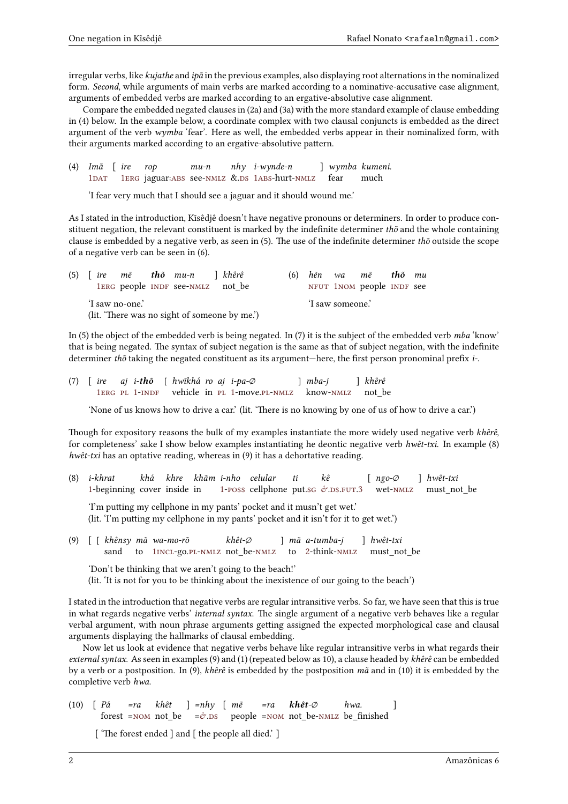irregular verbs, like *kujathe* and *ipã* in the previous examples, also displaying root alternations in the nominalized form. *Second*, while arguments of main verbs are marked according to a nominative-accusative case alignment, arguments of embedded verbs are marked according to an ergative-absolutive case alignment.

Compare the embedded negated clauses in (2a) and (3a) with the more standard example of clause embedding in (4) below. In the example below, a coordinate complex with two clausal conjuncts is embedded as the direct argument of the verb *wymba* 'fear'. Here as well, the embedded verbs appear in their nominalized form, with their arguments marked according to an ergative-absolutive pattern.

(4) *Imã* [ *ire* 1DAT 1ERG jaguar: ABS see-NMLZ &.DS 1ABS-hurt-NMLZ *rop mu-n nhy i-wynde-n* ] *wymba kumeni.* fear much

'I fear very much that I should see a jaguar and it should wound me.'

As I stated in the introduction, Kĩsêdjê doesn't have negative pronouns or determiners. In order to produce constitu[e](#page-0-5)[nt ne](#page-0-10)ga[ti](#page-0-5)[on, t](#page-0-6)he rele[vant](#page-0-9) con[stituen](#page-0-4)t i[s m](#page-0-3)[ar](#page-0-5)[ked](#page-0-9) by th[e inde](#page-0-4)finite determiner *thõ* and the whole containing clause is embedded by a negative verb, as seen in (5). The use of the indefinite determiner *thõ* outside the scope of a negative verb can be seen in (6).

|                                               |  |  |  | $(5)$ ire m $\tilde{e}$ th $\tilde{o}$ mu-n   khêrê |  |  |  |  |                  | (6) hẽn wa mẽ <b>thõ</b> mu |  |  |
|-----------------------------------------------|--|--|--|-----------------------------------------------------|--|--|--|--|------------------|-----------------------------|--|--|
|                                               |  |  |  | 1ERG people INDF see-NMLZ not be                    |  |  |  |  |                  | NFUT 1NOM people INDF see   |  |  |
| 'I saw no-one.'                               |  |  |  |                                                     |  |  |  |  | 'I saw someone.' |                             |  |  |
| (lit. 'There was no sight of someone by me.') |  |  |  |                                                     |  |  |  |  |                  |                             |  |  |

In (5) t[h](#page-0-5)[e obj](#page-0-6)ect of th[e emb](#page-0-11)edd[ed ver](#page-0-4)b is being negated. In (7) [it is th](#page-0-8)[e](#page-0-5) [subje](#page-0-0)ct of the [embe](#page-0-11)dded verb *mba* 'know' that is being negated. The syntax of subject negation is the same as that of subject negation, with the indefinite determiner *thõ* taking the negated constituent as its argument—here, the first person pronominal prefix *i-*.

|  |  |  | (7) [ire aj i-thõ [ hwĩkhá ro aj i-pa- $\emptyset$ |  |                                                              | $\lceil mba-i \rceil$ | ↑ khêrê |
|--|--|--|----------------------------------------------------|--|--------------------------------------------------------------|-----------------------|---------|
|  |  |  |                                                    |  | 1ERG PL 1-INDF vehicle in PL 1-move.PL-NMLZ know-NMLZ not be |                       |         |

'None of us knows how to drive a car.' (lit. 'There is no knowing by one of us of how to drive a car.')

Though for expository reasons the bulk of my examples instantiate the more widely used negative verb *khêrê*, for co[m](#page-0-5)[plete](#page-0-6)[nes](#page-0-12)[s'](#page-0-5) [sake](#page-0-11) I show below [exa](#page-0-12)[m](#page-0-5)ples i[nsta](#page-0-12)[ntiatin](#page-0-4)g he de[ontic n](#page-0-4)egative verb *hwêt-txi*. In example (8) *hwêt-txi* has an optative reading, whereas in (9) it has a dehortative reading.

(8) *i-khrat* 1-beginning cover inside in *khá khre khãm i-nho celular* 1-poss cellphone put.sG &.DS.FUT.3 *ti kê* [ *ngo-∅* wet-nmlz ] *hwêt-txi* must\_not\_be

'I'm putting my cellphone in my pants' pocket and it musn't get wet.' (lit. 'I'm putting my cellphone in my pants' pocket and it isn't for it to get wet.')

(9) [\[](#page-0-5) [ *khênsy mã wa-mo-rõ* sand to 1incl-go.pl-nmlz not\_be-nmlz *[khêt-∅](#page-0-13)* ] *mã [a-tu](#page-0-14)[m](#page-0-2)[ba-](#page-0-3)[j](#page-0-15)* to 2-think-nmlz [\]](#page-0-16) *hwêt-[txi](#page-0-4)* must not be

'Don't be thinking that we aren't going to the beach!' (lit. 'It is not for you to be thinking about the inexistence of our going to the beach')

I stated in the introdu[c](#page-0-5)[tion t](#page-0-17)hat [ne](#page-0-12)[gative](#page-0-4) verbs ar[e regu](#page-0-4)lar int[ran](#page-0-18)sitive [verbs](#page-0-4). So far, we have seen that this is true in what regards negative verbs' *internal syntax*. The single argument of a negative verb behaves like a regular verbal argument, with noun phrase arguments getting assigned the expected morphological case and clausal arguments displaying the hallmarks of clausal embedding.

Now let us look at evidence that negative verbs behave like regular intransitive verbs in what regards their *external syntax*. As seen in examples (9) and (1) (repeated below as 10), a clause headed by *khêrê* can be embedded by a verb or a postposition. In (9), *khêrê* is embedded by the postposition *mã* and in (10) it is embedded by the completive verb *hwa*.

(10) [ *Pá* forest =nom not\_be *=ra khêt* ] *=nhy* [ *mẽ*  $=\sigma$ .DS people =nom not\_be-nmlz be\_finished *=ra khêt-∅ hwa.* ]

['The forest ended ] and [ the people all died.']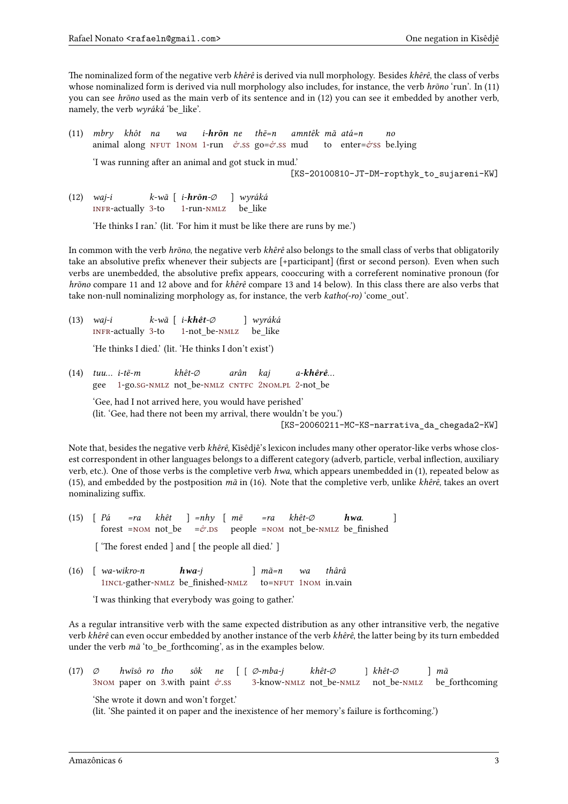The nominalized form of the negative verb *khêrê* is derived via null morphology. Besides *khêrê*, the class of verbs whose nominalized form is derived via null morphology also includes, for instance, the verb *hrõno* 'run'. In (11) you can see *hrõno* used as the main verb of its sentence and in (12) you can see it embedded by another verb, namely, the verb *wyráká* 'be\_like'.

- (11) *mbry khôt na* animal along NFUT 1NOM 1-run  $\phi$ .ss go= $\phi$ .ss mud *wa i-hrõn ne thẽ=n amntêk mã atá=n* to enter=&ss be.lying *no* 'I was running after an animal and got stuck in mud.' [KS-20100810-JT-DM-ropthyk\_to\_sujareni-KW]
- (12) *waj-i* infr-actually 3-to *[k-wã](#page-0-8)* [\[](#page-0-5) *i-[hrõ](#page-0-0)[n](#page-0-5)-∅* 1-run-nmlz [\]](#page-0-2) *[wy](#page-0-19)ráká* be\_like

'He thinks I ran.' (lit. 'For him it must be like there are runs by me.')

In common with the verb *hrõno*, the negative verb *khêrê* also belongs to the small class of verbs that obligatorily takea[n abs](#page-0-20)olutive p[re](#page-0-16)fix wh[en](#page-0-5)eve[r their](#page-0-4) subjects are [+participant] (first or second person). Even when such verbs are unembedded, the absolutive prefix appears, cooccuring with a correferent nominative pronoun (for *hrõno* compare 11 and 12 above and for *khêrê* compare 13 and 14 below). In this class there are also verbs that take non-null nominalizing morphology as, for instance, the verb *katho(-ro)* 'come\_out'.

(13) *waj-i* infr-actually 3-to *k-wã* [ *i-khêt-∅* 1-not\_be-nmlz ] *wyráká* be\_like

'He thinks I died.' (lit. 'He thinks I don't exist')

(14) *[tuu…](#page-0-20) i-tẽ-m* gee 1-go.sg[-n](#page-0-16)mlz not\_be-nmlz CNTFC 2nom.pl 2-not\_be *k[hê](#page-0-5)t-∅ [arâ](#page-0-4)n kaj a-khêrê…*

'Gee, had I not arrived here, you would have perished' (lit. 'Gee, had there not been my arrival, there wouldn't be you.')

[\[KS](#page-0-12)[-](#page-0-18)20060211-MC-KS-narrativa\_da\_chegada2-KW]

Note that, besides the negative verb *khêrê*, Kĩsêdjê's lexicon includes many other operator-like verbs whose closest correspondent in other languages belongs to a different category (adverb, particle, verbal inflection, auxiliary verb, etc.). One of those verbs is the completive verb *hwa*, which appears unembedded in (1), repeated below as (15), and embedded by the postposition *mã* in (16). Note that the completive verb, unlike *khêrê*, takes an overt nominalizing suffix.

- (15) [ *Pá* forest =nom not\_be *=ra khêt* ] *=nhy* [ *mẽ*  $=\sigma$ .ds people =nom not\_be-nmlz be\_finished *=ra khêt-∅ hwa.* ] ['The forest ended ] and [ the people all died.']
- (16) [ *wa-wikro-n* 1incl-g[ather](#page-0-0)-nmlz be\_fi[nis](#page-0-2)[he](#page-0-3)d-nmlz *hwa-j* ] *[mã=n](#page-0-0)* to=NFUT 1NOM in.vain *wa [thâr](#page-0-4)â*

'I was thinking that everybody was going to gather.'

As a re[gu](#page-0-5)[lar in](#page-0-17)transit[ive ve](#page-0-4)rb with thes[ame e](#page-0-4)xpect[ed dist](#page-0-8)[ri](#page-0-5)[butio](#page-0-0)n as any other intransitive verb, the negative verb *khêrê* can even occur embedded by another instance of the verb *khêrê*, the latter being by its turn embedded under the verb *mã* 'to\_be\_forthcoming', as in the examples below.

(17) *∅* 3NOM paper on 3.with paint  $\phi$ .ss *hwĩsô ro tho sôk ne* [ [ *∅-mba-j* 3-know-nmlz not\_be-nmlz *khêt-∅* ] *khêt-∅* not\_be-nmlz ] *mã* be\_forthcoming

'She wrote it down and won't forget.'

(lit. 'She painted it on paper and the inexistence of her memory's failure is forthcoming.')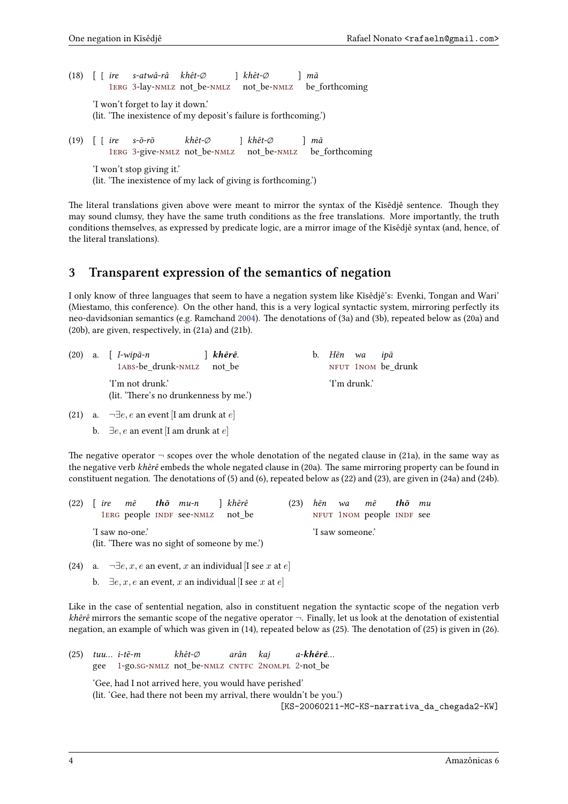(18) [ [ *ire* 1erg 3-lay-nmlz not\_be-nmlz not\_be-nmlz *s-atwâ-râ khêt-∅* ] *khêt-∅* ] *mã* be\_forthcoming 'I won't forget to lay it down.' (lit. 'The inexistence of my deposit's failure is forthcoming.')

(19) [ [ *[i](#page-0-5)[re](#page-0-6)* 1ERG 3-give-NMLZ not\_be-NMLZ *[s-](#page-0-16)õ-rõ khêt-[∅](#page-0-4)* ] *khêt-[∅](#page-0-4)* not\_be-nmlz be\_forthcoming ] *mã* 'I won't stop giving it.' (lit. 'The inexistence of my lack of giving is forthcoming.')

The litera[l](#page-0-5) [tran](#page-0-6)s[la](#page-0-16)tions [given](#page-0-4) above [were](#page-0-4) meant to [mirror](#page-0-4) the syntax of the Kĩsêdjê sentence. Though they may sound clumsy, they have the same truth conditions as the free translations. More importantly, the truth conditions themselves, as expressed by predicate logic, are a mirror image of the Kĩsêdjê syntax (and, hence, of the literal translations).

# **3 Transparent expression of the semantics of negation**

I only know of three languages that seem to have a negation system like Kĩsêdjê's: Evenki, Tongan and Wari' (Miestamo, this conference). On the other hand, this is a very logical syntactic system, mirroring perfectly its neo-davidsonian semantics (e.g. Ramchand 2004). The denotations of (3a) and (3b), repeated below as (20a) and (20b), are given, respectively, in (21a) and (21b).

|  | $(20)$ a. [ $I$ -wip $\tilde{a}$ -n<br>│ khêrê.<br>1ABS-be drunk-NMLZ not be | b. | Hền wa<br>ipã<br>NFUT 1NOM be drunk |
|--|------------------------------------------------------------------------------|----|-------------------------------------|
|  | 'I'm not drunk.'<br>(lit. 'There's no drunkenness by me.')                   |    | 'I'm drunk.'                        |
|  | (21) a. $\neg \exists e, e$ an event [I am drunk at $e$ ]                    |    |                                     |

b. *∃e, e* an event [I am drunk at *e*]

The negative operator  $\neg$  scopes over the whole denotation of the negated clause in (21a), in the same way as the negative verb *khêrê* embeds the whole negated clause in (20a). The same mirroring property can be found in constituent negation. The denotations of (5) and (6), repeated below as (22) and (23), are given in (24a) and (24b).

|                                               |  |  |  | $(22)$ [ ire m $\tilde{e}$ tho mu-n ] khêrê |  |  | (23) |  |                  | hẽn wa mẽ <b>thõ</b> mu   |  |
|-----------------------------------------------|--|--|--|---------------------------------------------|--|--|------|--|------------------|---------------------------|--|
|                                               |  |  |  | 1ERG people INDF see-NMLZ not be            |  |  |      |  |                  | NFUT 1NOM people INDF see |  |
| 'I saw no-one.'                               |  |  |  |                                             |  |  |      |  | 'I saw someone.' |                           |  |
| (lit. 'There was no sight of someone by me.') |  |  |  |                                             |  |  |      |  |                  |                           |  |

(24) a. *[¬∃](#page-0-6)e, x, e* an [even](#page-0-11)t, *x* [an ind](#page-0-4)ividual [I see *x* at *e*] **b.**  $∃e, x, e$  an event, *x* an individual [I see *x* at *e*]

Like in the case of sentential negation, also in constituent negation the syntactic scope of the negation verb *khêrê* mirrors the semantic scope of the negative operator *¬*. Finally, let us look at the denotation of existential negation, an example of which was given in (14), repeated below as (25). The denotation of (25) is given in (26).

(25) *tuu… i-tẽ-m* gee 1-go.sg-NMLZ not\_be-NMLZ CNTFC 2NOM.PL 2-not\_be *khêt-∅ arân kaj a-khêrê…* 'Gee, had I not arrived here, you would have perished' (lit. 'Gee, had there not been my arrival, there wouldn't be you.') [\[KS](#page-0-12)[-](#page-0-18)20060211-MC-KS-narrativa\_da\_chegada2-KW]